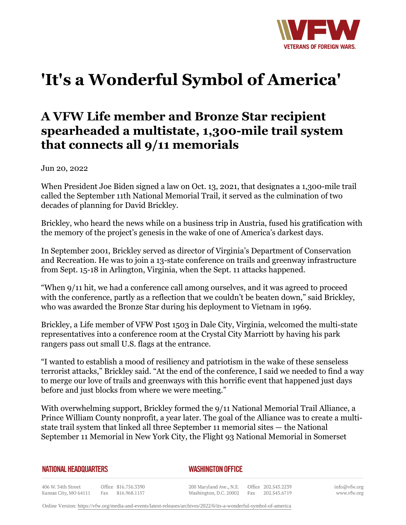

## **'It's a Wonderful Symbol of America'**

## **A VFW Life member and Bronze Star recipient spearheaded a multistate, 1,300-mile trail system that connects all 9/11 memorials**

Jun 20, 2022

When President Joe Biden signed a law on Oct. 13, 2021, that designates a 1,300-mile trail called the September 11th National Memorial Trail, it served as the culmination of two decades of planning for David Brickley.

Brickley, who heard the news while on a business trip in Austria, fused his gratification with the memory of the project's genesis in the wake of one of America's darkest days.

In September 2001, Brickley served as director of Virginia's Department of Conservation and Recreation. He was to join a 13-state conference on trails and greenway infrastructure from Sept. 15-18 in Arlington, Virginia, when the Sept. 11 attacks happened.

"When 9/11 hit, we had a conference call among ourselves, and it was agreed to proceed with the conference, partly as a reflection that we couldn't be beaten down," said Brickley, who was awarded the Bronze Star during his deployment to Vietnam in 1969.

Brickley, a Life member of VFW Post 1503 in Dale City, Virginia, welcomed the multi-state representatives into a conference room at the Crystal City Marriott by having his park rangers pass out small U.S. flags at the entrance.

"I wanted to establish a mood of resiliency and patriotism in the wake of these senseless terrorist attacks," Brickley said. "At the end of the conference, I said we needed to find a way to merge our love of trails and greenways with this horrific event that happened just days before and just blocks from where we were meeting."

With overwhelming support, Brickley formed the 9/11 National Memorial Trail Alliance, a Prince William County nonprofit, a year later. The goal of the Alliance was to create a multistate trail system that linked all three September 11 memorial sites — the National September 11 Memorial in New York City, the Flight 93 National Memorial in Somerset

## **NATIONAL HEADQUARTERS**

## *WASHINGTON OFFICE*

406 W. 34th Street Office 816.756.3390 Kansas City, MO 64111 Fax 816.968.1157

200 Maryland Ave., N.E. Washington, D.C. 20002 info@vfw.org www.vfw.org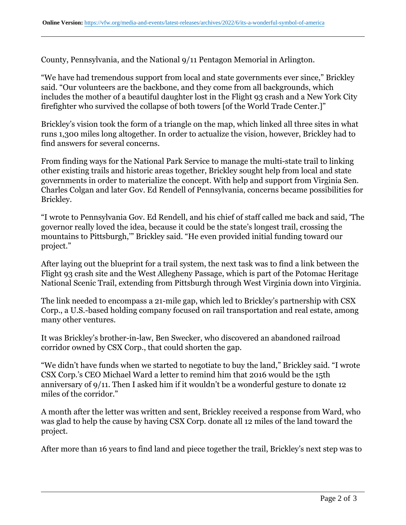County, Pennsylvania, and the National 9/11 Pentagon Memorial in Arlington.

"We have had tremendous support from local and state governments ever since," Brickley said. "Our volunteers are the backbone, and they come from all backgrounds, which includes the mother of a beautiful daughter lost in the Flight 93 crash and a New York City firefighter who survived the collapse of both towers [of the World Trade Center.]"

Brickley's vision took the form of a triangle on the map, which linked all three sites in what runs 1,300 miles long altogether. In order to actualize the vision, however, Brickley had to find answers for several concerns.

From finding ways for the National Park Service to manage the multi-state trail to linking other existing trails and historic areas together, Brickley sought help from local and state governments in order to materialize the concept. With help and support from Virginia Sen. Charles Colgan and later Gov. Ed Rendell of Pennsylvania, concerns became possibilities for Brickley.

"I wrote to Pennsylvania Gov. Ed Rendell, and his chief of staff called me back and said, 'The governor really loved the idea, because it could be the state's longest trail, crossing the mountains to Pittsburgh,'" Brickley said. "He even provided initial funding toward our project."

After laying out the blueprint for a trail system, the next task was to find a link between the Flight 93 crash site and the West Allegheny Passage, which is part of the Potomac Heritage National Scenic Trail, extending from Pittsburgh through West Virginia down into Virginia.

The link needed to encompass a 21-mile gap, which led to Brickley's partnership with CSX Corp., a U.S.-based holding company focused on rail transportation and real estate, among many other ventures.

It was Brickley's brother-in-law, Ben Swecker, who discovered an abandoned railroad corridor owned by CSX Corp., that could shorten the gap.

"We didn't have funds when we started to negotiate to buy the land," Brickley said. "I wrote CSX Corp.'s CEO Michael Ward a letter to remind him that 2016 would be the 15th anniversary of 9/11. Then I asked him if it wouldn't be a wonderful gesture to donate 12 miles of the corridor."

A month after the letter was written and sent, Brickley received a response from Ward, who was glad to help the cause by having CSX Corp. donate all 12 miles of the land toward the project.

After more than 16 years to find land and piece together the trail, Brickley's next step was to